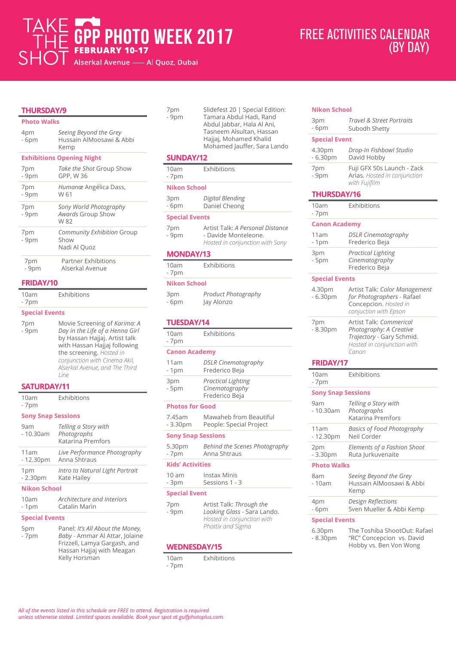# GPP PHOTO WEEK 2017 S Alserkal Avenue — Al Quoz, Dubai

## FREE ACTIVITIES CALENDAR (BY DAY)

## **THURSDAY/9**

## **Photo Walks**

| 4pm<br>- 6pm                     | Seeing Beyond the Grey<br>Hussain AlMoosawi & Abbi<br>Kemp |
|----------------------------------|------------------------------------------------------------|
| <b>Exhibitions Opening Night</b> |                                                            |
| 7pm<br>- 9pm                     | <i>Take the Shot Group Show</i><br>GPP, W 36               |
| 7pm<br>- 9pm                     | Humanæ Angélica Dass,<br>W 61                              |
| 7pm<br>- 9pm                     | Sony World Photography<br>Awards Group Show<br>W 82        |
| 7pm<br>- 9pm                     | Community Exhibition Group<br>Show<br>Nadi Al Quoz         |
| 7pm<br>- 9pm                     | <b>Partner Exhibitions</b><br>Alserkal Avenue              |

## **FRIDAY/10**

| 10am   | Exhibitions |
|--------|-------------|
| $-7pm$ |             |

#### **Special Events**

| 7pm<br>$-9pm$ | Movie Screening of Karima: A<br>Day in the Life of a Henna Girl<br>by Hassan Hajjaj. Artist talk<br>with Hassan Hajjaj following<br>the screening. Hosted in |
|---------------|--------------------------------------------------------------------------------------------------------------------------------------------------------------|
|               | conjunction with Cinema Akil,<br>Alserkal Avenue, and The Third<br>line                                                                                      |

## **SATURDAY/11**

| 10am<br>$-7pm$            | <b>Exhibitions</b>                                       |
|---------------------------|----------------------------------------------------------|
| <b>Sony Snap Sessions</b> |                                                          |
| 9am<br>$-10.30am$         | Telling a Story with<br>Photographs<br>Katarina Premfors |
| 11am<br>$-12.30pm$        | Live Performance Photography<br>Anna Shtraus             |
| 1pm<br>$-2.30pm$          | Intro to Natural Light Portrait<br>Kate Hailey           |
| <b>Nikon School</b>       |                                                          |

| 10am   | Architecture and Interiors |
|--------|----------------------------|
| $-1pm$ | Catalin Marin              |

## **Special Events**

| 5pm    | Panel: It's All About the Money,                                                                             |
|--------|--------------------------------------------------------------------------------------------------------------|
| $-7pm$ | Baby - Ammar Al Attar, Jolaine<br>Frizzell, Lamya Gargash, and<br>Hassan Hajjaj with Meagan<br>Kelly Horsman |

| 7pm   | Slidefest 20   Special Edition: |
|-------|---------------------------------|
| - 9pm | Tamara Abdul Hadi, Rand         |
|       | Abdul Jabbar, Hala Al Ani,      |
|       | Tasneem Alsultan, Hassan        |
|       | Hajjaj, Mohamed Khalid          |
|       | Mohamed Jauffer, Sara Lando     |
|       |                                 |

## **SUNDAY/12**

| 10am<br>- 7pm         | Exhibitions                                                                                 |
|-----------------------|---------------------------------------------------------------------------------------------|
| <b>Nikon School</b>   |                                                                                             |
| 3pm<br>$-6pm$         | Digital Blending<br>Daniel Cheong                                                           |
| <b>Special Events</b> |                                                                                             |
| 7pm<br>- 9pm          | Artist Talk: A Personal Distance<br>- Davide Monteleone.<br>Hosted in conjunction with Sony |
| <b>MONDAY/13</b>      |                                                                                             |
| 10am                  | <b>Exhibitions</b>                                                                          |

### - 7pm **Nikon School**

| 3pm   | Product Photography |
|-------|---------------------|
| - 6pm | Jay Alonzo          |

# **TUESDAY/14**

| 10am<br>- 7pm             | Exhibitions                                                                                                |  |
|---------------------------|------------------------------------------------------------------------------------------------------------|--|
| <b>Canon Academy</b>      |                                                                                                            |  |
| 11am<br>- 1pm             | <b>DSLR Cinematography</b><br>Frederico Beja                                                               |  |
| 3pm<br>- 5pm              | <b>Practical Lighting</b><br>Cinematography<br>Frederico Beja                                              |  |
| <b>Photos for Good</b>    |                                                                                                            |  |
| 7.45am<br>- 3.30pm        | Mawaheb from Beautiful<br>People: Special Project                                                          |  |
| <b>Sony Snap Sessions</b> |                                                                                                            |  |
| - 7pm                     | 5.30pm Behind the Scenes Photography<br>Anna Shtraus                                                       |  |
| <b>Kids' Activities</b>   |                                                                                                            |  |
| $10 \text{ am}$<br>- 3pm  | <b>Instax Minis</b><br>Sessions 1 - 3                                                                      |  |
| <b>Special Event</b>      |                                                                                                            |  |
| 7pm<br>- 9pm              | Artist Talk: Through the<br>Looking Glass - Sara Lando.<br>Hosted in conjunction with<br>Phottix and Sigma |  |
| <b>IFRAIRAR AVIAR</b>     |                                                                                                            |  |

## **WEDNESDAY/15**

10am - 7pm Exhibitions

| <b>Nikon School</b>       |                                                                                                                        |  |
|---------------------------|------------------------------------------------------------------------------------------------------------------------|--|
| 3pm<br>- 6pm              | Travel & Street Portraits<br>Subodh Shetty                                                                             |  |
| <b>Special Event</b>      |                                                                                                                        |  |
| 4.30pm<br>$-6.30pm$       | Drop-In Fishbowl Studio<br>David Hobby                                                                                 |  |
| 7pm<br>- 9pm              | Fuji GFX 50s Launch - Zack<br>Arias. Hosted in conjunction<br>with Fujifilm                                            |  |
| <b>THURSDAY/16</b>        |                                                                                                                        |  |
| 10am<br>- 7pm             | Exhibitions                                                                                                            |  |
| <b>Canon Academy</b>      |                                                                                                                        |  |
| 11am<br>- 1pm             | <b>DSLR Cinematography</b><br>Frederico Beja                                                                           |  |
| 3pm<br>- 5pm              | Practical Lighting<br>Cinematography<br>Frederico Beja                                                                 |  |
| <b>Special Events</b>     |                                                                                                                        |  |
| 4.30pm<br>$-6.30pm$       | Artist Talk: Color Management<br>for Photographers - Rafael<br>Concepcion. Hosted in<br>conjuction with Epson          |  |
| 7pm<br>$-8.30pm$          | Artist Talk: Commerical<br>Photography: A Creative<br>Trajectory - Gary Schmid.<br>Hosted in conjunction with<br>Canon |  |
| FRIDAY/17                 |                                                                                                                        |  |
| 10am<br>- 7pm             | Exhibitions                                                                                                            |  |
| <b>Sony Snap Sessions</b> |                                                                                                                        |  |
| 9am<br>- 10.30am          | Telling a Story with<br>Photographs<br>Katarina Premfors                                                               |  |
| 11am<br>$-12.30pm$        | <b>Basics of Food Photography</b><br>Neil Corder                                                                       |  |
| 2pm<br>- 3.30pm           | Elements of a Fashion Shoot<br>Ruta Jurkuvenaite                                                                       |  |
| <b>Photo Walks</b>        |                                                                                                                        |  |
| 8am<br>- 10am             | Seeing Beyond the Grey<br>Hussain AlMoosawi & Abbi<br>Kemp                                                             |  |
| 4pm<br>- 6рт              | Design Reflections<br>Sven Mueller & Abbi Kemp                                                                         |  |
| <b>Special Events</b>     |                                                                                                                        |  |
| 6.30pm<br>- 8.30pm        | The Toshiba ShootOut: Rafael<br>"RC" Concepcion vs. David<br>Hobby vs. Ben Von Wong                                    |  |

Î.